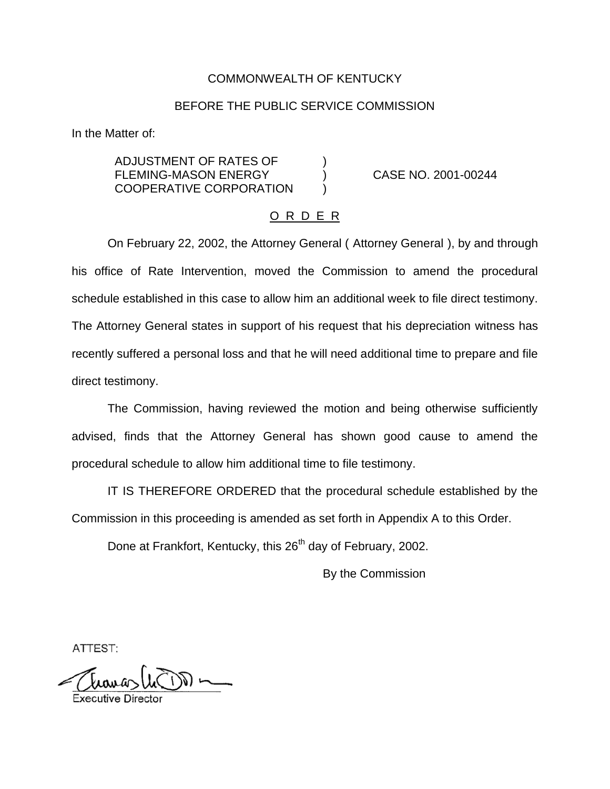## COMMONWEALTH OF KENTUCKY

### BEFORE THE PUBLIC SERVICE COMMISSION

In the Matter of:

ADJUSTMENT OF RATES OF ) FLEMING-MASON ENERGY (and CASE NO. 2001-00244) COOPERATIVE CORPORATION

#### O R D E R

On February 22, 2002, the Attorney General ( Attorney General ), by and through his office of Rate Intervention, moved the Commission to amend the procedural schedule established in this case to allow him an additional week to file direct testimony. The Attorney General states in support of his request that his depreciation witness has recently suffered a personal loss and that he will need additional time to prepare and file direct testimony.

The Commission, having reviewed the motion and being otherwise sufficiently advised, finds that the Attorney General has shown good cause to amend the procedural schedule to allow him additional time to file testimony.

IT IS THEREFORE ORDERED that the procedural schedule established by the Commission in this proceeding is amended as set forth in Appendix A to this Order.

Done at Frankfort, Kentucky, this 26<sup>th</sup> day of February, 2002.

By the Commission

ATTEST: